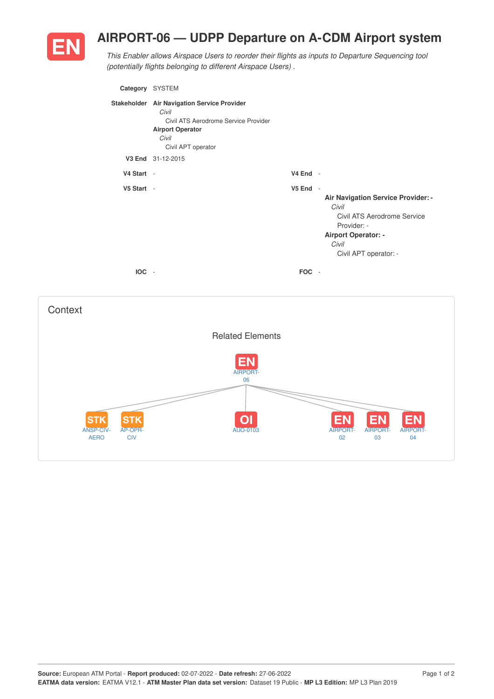## **AIRPORT-06 — UDPP Departure on A-CDM Airport system**



*This Enabler allows Airspace Users to reorder their flights as inputs to Departure Sequencing tool (potentially flights belonging to different Airspace Users) .*

| Category SYSTEM |                                                                                                                                                        |                                        |                                                                                                                                                                  |
|-----------------|--------------------------------------------------------------------------------------------------------------------------------------------------------|----------------------------------------|------------------------------------------------------------------------------------------------------------------------------------------------------------------|
|                 | Stakeholder Air Navigation Service Provider<br>Civil<br>Civil ATS Aerodrome Service Provider<br><b>Airport Operator</b><br>Civil<br>Civil APT operator |                                        |                                                                                                                                                                  |
|                 | V3 End 31-12-2015                                                                                                                                      |                                        |                                                                                                                                                                  |
| V4 Start -      |                                                                                                                                                        | $V4$ End -                             |                                                                                                                                                                  |
| V5 Start -      |                                                                                                                                                        | <b>V5 End -</b>                        | <b>Air Navigation Service Provider: -</b><br>Civil<br>Civil ATS Aerodrome Service<br>Provider: -<br><b>Airport Operator: -</b><br>Civil<br>Civil APT operator: - |
| <b>IOC</b>      | $\overline{\phantom{a}}$                                                                                                                               | <b>FOC</b><br>$\overline{\phantom{a}}$ |                                                                                                                                                                  |